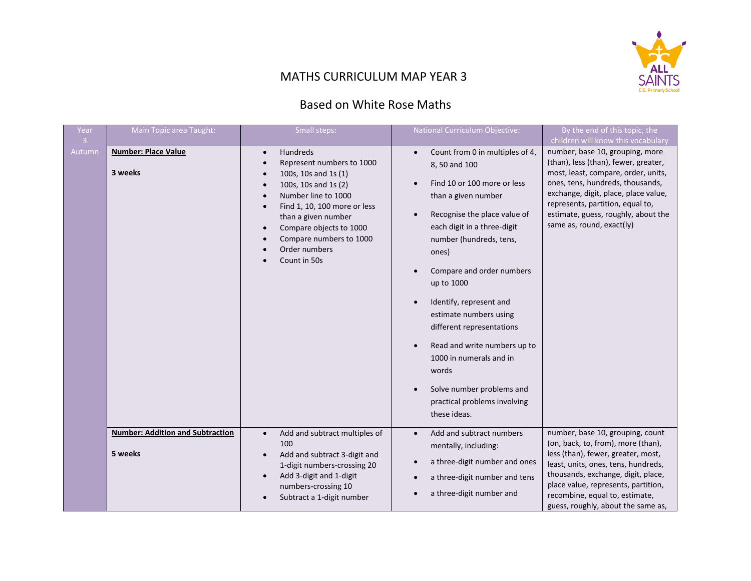

## MATHS CURRICULUM MAP YEAR 3

## Based on White Rose Maths

| <b>Year</b>              | Main Topic area Taught:                            | Small steps:                                                                                                                                                                                                                                                                                                                                                       | <b>National Curriculum Objective:</b>                                                                                                                                                                                                                                                                                                                                                                                                                                                                | By the end of this topic, the                                                                                                                                                                                                                                                                                                            |
|--------------------------|----------------------------------------------------|--------------------------------------------------------------------------------------------------------------------------------------------------------------------------------------------------------------------------------------------------------------------------------------------------------------------------------------------------------------------|------------------------------------------------------------------------------------------------------------------------------------------------------------------------------------------------------------------------------------------------------------------------------------------------------------------------------------------------------------------------------------------------------------------------------------------------------------------------------------------------------|------------------------------------------------------------------------------------------------------------------------------------------------------------------------------------------------------------------------------------------------------------------------------------------------------------------------------------------|
| $\overline{3}$<br>Autumn | <b>Number: Place Value</b><br>3 weeks              | Hundreds<br>$\bullet$<br>Represent numbers to 1000<br>$\bullet$<br>100s, 10s and 1s (1)<br>$\bullet$<br>100s, 10s and 1s (2)<br>$\bullet$<br>Number line to 1000<br>$\bullet$<br>Find 1, 10, 100 more or less<br>$\bullet$<br>than a given number<br>Compare objects to 1000<br>$\bullet$<br>Compare numbers to 1000<br>Order numbers<br>$\bullet$<br>Count in 50s | Count from 0 in multiples of 4,<br>$\bullet$<br>8, 50 and 100<br>Find 10 or 100 more or less<br>than a given number<br>Recognise the place value of<br>each digit in a three-digit<br>number (hundreds, tens,<br>ones)<br>Compare and order numbers<br>up to 1000<br>Identify, represent and<br>estimate numbers using<br>different representations<br>Read and write numbers up to<br>1000 in numerals and in<br>words<br>Solve number problems and<br>practical problems involving<br>these ideas. | children will know this vocabulary<br>number, base 10, grouping, more<br>(than), less (than), fewer, greater,<br>most, least, compare, order, units,<br>ones, tens, hundreds, thousands,<br>exchange, digit, place, place value,<br>represents, partition, equal to,<br>estimate, guess, roughly, about the<br>same as, round, exact(ly) |
|                          | <b>Number: Addition and Subtraction</b><br>5 weeks | Add and subtract multiples of<br>$\bullet$<br>100<br>Add and subtract 3-digit and<br>1-digit numbers-crossing 20<br>Add 3-digit and 1-digit<br>numbers-crossing 10<br>Subtract a 1-digit number                                                                                                                                                                    | Add and subtract numbers<br>$\bullet$<br>mentally, including:<br>a three-digit number and ones<br>a three-digit number and tens<br>a three-digit number and                                                                                                                                                                                                                                                                                                                                          | number, base 10, grouping, count<br>(on, back, to, from), more (than),<br>less (than), fewer, greater, most,<br>least, units, ones, tens, hundreds,<br>thousands, exchange, digit, place,<br>place value, represents, partition,<br>recombine, equal to, estimate,<br>guess, roughly, about the same as,                                 |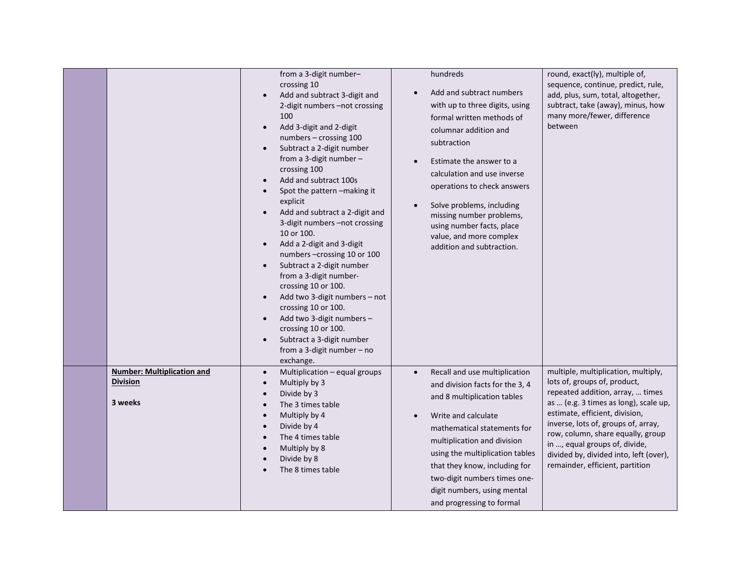|                                                                 | from a 3-digit number-<br>crossing 10<br>Add and subtract 3-digit and<br>$\bullet$<br>2-digit numbers -not crossing<br>100<br>Add 3-digit and 2-digit<br>numbers - crossing 100<br>Subtract a 2-digit number<br>$\bullet$<br>from a 3-digit number $-$<br>crossing 100<br>Add and subtract 100s<br>Spot the pattern -making it<br>explicit<br>Add and subtract a 2-digit and<br>3-digit numbers -not crossing<br>10 or 100.<br>Add a 2-digit and 3-digit<br>numbers-crossing 10 or 100<br>Subtract a 2-digit number<br>from a 3-digit number-<br>crossing 10 or 100.<br>Add two 3-digit numbers - not<br>crossing 10 or 100.<br>Add two 3-digit numbers -<br>crossing 10 or 100.<br>Subtract a 3-digit number<br>$\bullet$<br>from a 3-digit number $-$ no<br>exchange. | hundreds<br>Add and subtract numbers<br>$\bullet$<br>with up to three digits, using<br>formal written methods of<br>columnar addition and<br>subtraction<br>Estimate the answer to a<br>$\bullet$<br>calculation and use inverse<br>operations to check answers<br>Solve problems, including<br>$\bullet$<br>missing number problems,<br>using number facts, place<br>value, and more complex<br>addition and subtraction. | round, exact(ly), multiple of,<br>sequence, continue, predict, rule,<br>add, plus, sum, total, altogether,<br>subtract, take (away), minus, how<br>many more/fewer, difference<br>between                                                                                                                                                                                    |
|-----------------------------------------------------------------|-------------------------------------------------------------------------------------------------------------------------------------------------------------------------------------------------------------------------------------------------------------------------------------------------------------------------------------------------------------------------------------------------------------------------------------------------------------------------------------------------------------------------------------------------------------------------------------------------------------------------------------------------------------------------------------------------------------------------------------------------------------------------|----------------------------------------------------------------------------------------------------------------------------------------------------------------------------------------------------------------------------------------------------------------------------------------------------------------------------------------------------------------------------------------------------------------------------|------------------------------------------------------------------------------------------------------------------------------------------------------------------------------------------------------------------------------------------------------------------------------------------------------------------------------------------------------------------------------|
| <b>Number: Multiplication and</b><br><b>Division</b><br>3 weeks | Multiplication - equal groups<br>$\bullet$<br>Multiply by 3<br>$\bullet$<br>Divide by 3<br>The 3 times table<br>Multiply by 4<br>Divide by 4<br>The 4 times table<br>$\bullet$<br>Multiply by 8<br>Divide by 8<br>The 8 times table                                                                                                                                                                                                                                                                                                                                                                                                                                                                                                                                     | Recall and use multiplication<br>$\bullet$<br>and division facts for the 3, 4<br>and 8 multiplication tables<br>Write and calculate<br>$\bullet$<br>mathematical statements for<br>multiplication and division<br>using the multiplication tables<br>that they know, including for<br>two-digit numbers times one-<br>digit numbers, using mental<br>and progressing to formal                                             | multiple, multiplication, multiply,<br>lots of, groups of, product,<br>repeated addition, array,  times<br>as  (e.g. 3 times as long), scale up,<br>estimate, efficient, division,<br>inverse, lots of, groups of, array,<br>row, column, share equally, group<br>in , equal groups of, divide,<br>divided by, divided into, left (over),<br>remainder, efficient, partition |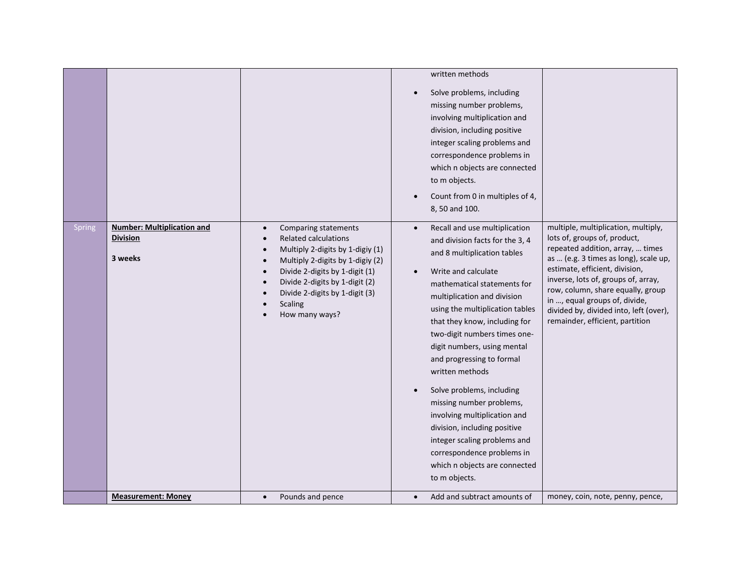|        |                                                                 |                                                                                                                                                                                                                                                                                                                                        | written methods<br>Solve problems, including<br>missing number problems,<br>involving multiplication and<br>division, including positive<br>integer scaling problems and<br>correspondence problems in<br>which n objects are connected<br>to m objects.<br>Count from 0 in multiples of 4,<br>8, 50 and 100.                                                                                                                                                                                                                                                                                                                                                                                                                                                                                                                                                                                                                                                                                                              |
|--------|-----------------------------------------------------------------|----------------------------------------------------------------------------------------------------------------------------------------------------------------------------------------------------------------------------------------------------------------------------------------------------------------------------------------|----------------------------------------------------------------------------------------------------------------------------------------------------------------------------------------------------------------------------------------------------------------------------------------------------------------------------------------------------------------------------------------------------------------------------------------------------------------------------------------------------------------------------------------------------------------------------------------------------------------------------------------------------------------------------------------------------------------------------------------------------------------------------------------------------------------------------------------------------------------------------------------------------------------------------------------------------------------------------------------------------------------------------|
| Spring | <b>Number: Multiplication and</b><br><b>Division</b><br>3 weeks | Comparing statements<br>$\bullet$<br><b>Related calculations</b><br>$\bullet$<br>Multiply 2-digits by 1-digiy (1)<br>$\bullet$<br>Multiply 2-digits by 1-digiy (2)<br>$\bullet$<br>Divide 2-digits by 1-digit (1)<br>$\bullet$<br>Divide 2-digits by 1-digit (2)<br>Divide 2-digits by 1-digit (3)<br><b>Scaling</b><br>How many ways? | multiple, multiplication, multiply,<br>Recall and use multiplication<br>$\bullet$<br>lots of, groups of, product,<br>and division facts for the 3, 4<br>repeated addition, array,  times<br>and 8 multiplication tables<br>as  (e.g. 3 times as long), scale up,<br>estimate, efficient, division,<br>Write and calculate<br>$\bullet$<br>inverse, lots of, groups of, array,<br>mathematical statements for<br>row, column, share equally, group<br>multiplication and division<br>in , equal groups of, divide,<br>using the multiplication tables<br>divided by, divided into, left (over),<br>remainder, efficient, partition<br>that they know, including for<br>two-digit numbers times one-<br>digit numbers, using mental<br>and progressing to formal<br>written methods<br>Solve problems, including<br>missing number problems,<br>involving multiplication and<br>division, including positive<br>integer scaling problems and<br>correspondence problems in<br>which n objects are connected<br>to m objects. |
|        | <b>Measurement: Money</b>                                       | Pounds and pence<br>$\bullet$                                                                                                                                                                                                                                                                                                          | Add and subtract amounts of<br>money, coin, note, penny, pence,<br>$\bullet$                                                                                                                                                                                                                                                                                                                                                                                                                                                                                                                                                                                                                                                                                                                                                                                                                                                                                                                                               |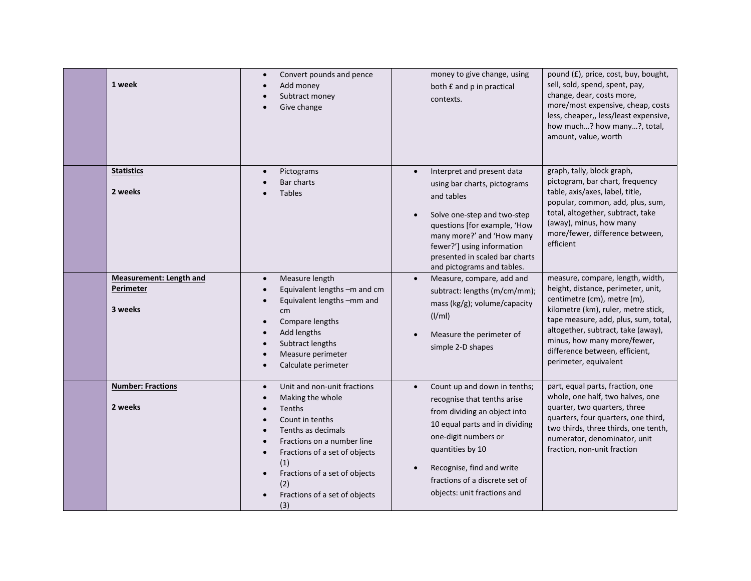| 1 week                                                 | Convert pounds and pence<br>$\bullet$<br>Add money<br>Subtract money<br>Give change                                                                                                                                                                                                                                                                        | money to give change, using<br>both £ and p in practical<br>contexts.                                                                                                                                                                                                                        | pound (£), price, cost, buy, bought,<br>sell, sold, spend, spent, pay,<br>change, dear, costs more,<br>more/most expensive, cheap, costs<br>less, cheaper,, less/least expensive,<br>how much? how many?, total,<br>amount, value, worth                                                                             |
|--------------------------------------------------------|------------------------------------------------------------------------------------------------------------------------------------------------------------------------------------------------------------------------------------------------------------------------------------------------------------------------------------------------------------|----------------------------------------------------------------------------------------------------------------------------------------------------------------------------------------------------------------------------------------------------------------------------------------------|----------------------------------------------------------------------------------------------------------------------------------------------------------------------------------------------------------------------------------------------------------------------------------------------------------------------|
| <b>Statistics</b><br>2 weeks                           | Pictograms<br>$\bullet$<br>Bar charts<br><b>Tables</b>                                                                                                                                                                                                                                                                                                     | Interpret and present data<br>$\bullet$<br>using bar charts, pictograms<br>and tables<br>Solve one-step and two-step<br>$\bullet$<br>questions [for example, 'How<br>many more?' and 'How many<br>fewer?'] using information<br>presented in scaled bar charts<br>and pictograms and tables. | graph, tally, block graph,<br>pictogram, bar chart, frequency<br>table, axis/axes, label, title,<br>popular, common, add, plus, sum,<br>total, altogether, subtract, take<br>(away), minus, how many<br>more/fewer, difference between,<br>efficient                                                                 |
| <b>Measurement: Length and</b><br>Perimeter<br>3 weeks | Measure length<br>$\bullet$<br>Equivalent lengths -m and cm<br>$\bullet$<br>Equivalent lengths -mm and<br>$\bullet$<br>cm<br>Compare lengths<br>$\bullet$<br>Add lengths<br>Subtract lengths<br>Measure perimeter<br>$\bullet$<br>Calculate perimeter<br>$\bullet$                                                                                         | Measure, compare, add and<br>$\bullet$<br>subtract: lengths (m/cm/mm);<br>mass (kg/g); volume/capacity<br>(I/ml)<br>Measure the perimeter of<br>simple 2-D shapes                                                                                                                            | measure, compare, length, width,<br>height, distance, perimeter, unit,<br>centimetre (cm), metre (m),<br>kilometre (km), ruler, metre stick,<br>tape measure, add, plus, sum, total,<br>altogether, subtract, take (away),<br>minus, how many more/fewer,<br>difference between, efficient,<br>perimeter, equivalent |
| <b>Number: Fractions</b><br>2 weeks                    | Unit and non-unit fractions<br>$\bullet$<br>Making the whole<br>$\bullet$<br><b>Tenths</b><br>$\bullet$<br>Count in tenths<br>$\bullet$<br>Tenths as decimals<br>$\bullet$<br>Fractions on a number line<br>Fractions of a set of objects<br>$\bullet$<br>(1)<br>Fractions of a set of objects<br>$\bullet$<br>(2)<br>Fractions of a set of objects<br>(3) | Count up and down in tenths;<br>recognise that tenths arise<br>from dividing an object into<br>10 equal parts and in dividing<br>one-digit numbers or<br>quantities by 10<br>Recognise, find and write<br>fractions of a discrete set of<br>objects: unit fractions and                      | part, equal parts, fraction, one<br>whole, one half, two halves, one<br>quarter, two quarters, three<br>quarters, four quarters, one third,<br>two thirds, three thirds, one tenth,<br>numerator, denominator, unit<br>fraction, non-unit fraction                                                                   |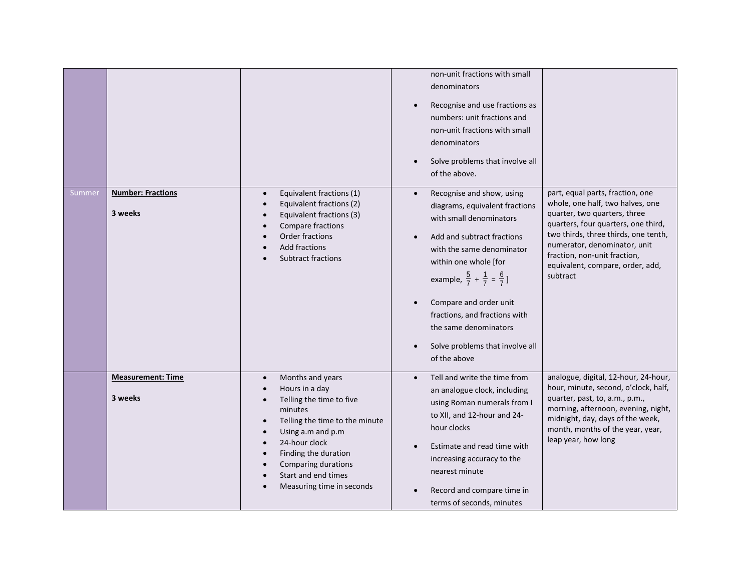| Summer | <b>Number: Fractions</b><br>3 weeks | Equivalent fractions (1)<br>$\bullet$<br>Equivalent fractions (2)<br>$\bullet$<br>Equivalent fractions (3)<br>Compare fractions<br>Order fractions<br><b>Add fractions</b><br><b>Subtract fractions</b>                                                                                                               | non-unit fractions with small<br>denominators<br>Recognise and use fractions as<br>numbers: unit fractions and<br>non-unit fractions with small<br>denominators<br>Solve problems that involve all<br>$\bullet$<br>of the above.<br>Recognise and show, using<br>$\bullet$<br>diagrams, equivalent fractions<br>with small denominators<br>Add and subtract fractions<br>$\bullet$<br>with the same denominator<br>within one whole [for | part, equal parts, fraction, one<br>whole, one half, two halves, one<br>quarter, two quarters, three<br>quarters, four quarters, one third,<br>two thirds, three thirds, one tenth,<br>numerator, denominator, unit<br>fraction, non-unit fraction,<br>equivalent, compare, order, add, |
|--------|-------------------------------------|-----------------------------------------------------------------------------------------------------------------------------------------------------------------------------------------------------------------------------------------------------------------------------------------------------------------------|------------------------------------------------------------------------------------------------------------------------------------------------------------------------------------------------------------------------------------------------------------------------------------------------------------------------------------------------------------------------------------------------------------------------------------------|-----------------------------------------------------------------------------------------------------------------------------------------------------------------------------------------------------------------------------------------------------------------------------------------|
|        |                                     |                                                                                                                                                                                                                                                                                                                       | example, $\frac{5}{7} + \frac{1}{7} = \frac{6}{7}$ ]<br>Compare and order unit<br>fractions, and fractions with<br>the same denominators<br>Solve problems that involve all<br>of the above                                                                                                                                                                                                                                              | subtract                                                                                                                                                                                                                                                                                |
|        | <b>Measurement: Time</b><br>3 weeks | Months and years<br>$\bullet$<br>Hours in a day<br>$\bullet$<br>Telling the time to five<br>$\bullet$<br>minutes<br>Telling the time to the minute<br>Using a.m and p.m<br>24-hour clock<br>$\bullet$<br>Finding the duration<br>$\bullet$<br>Comparing durations<br>Start and end times<br>Measuring time in seconds | Tell and write the time from<br>$\bullet$<br>an analogue clock, including<br>using Roman numerals from I<br>to XII, and 12-hour and 24-<br>hour clocks<br>Estimate and read time with<br>increasing accuracy to the<br>nearest minute<br>Record and compare time in<br>terms of seconds, minutes                                                                                                                                         | analogue, digital, 12-hour, 24-hour,<br>hour, minute, second, o'clock, half,<br>quarter, past, to, a.m., p.m.,<br>morning, afternoon, evening, night,<br>midnight, day, days of the week,<br>month, months of the year, year,<br>leap year, how long                                    |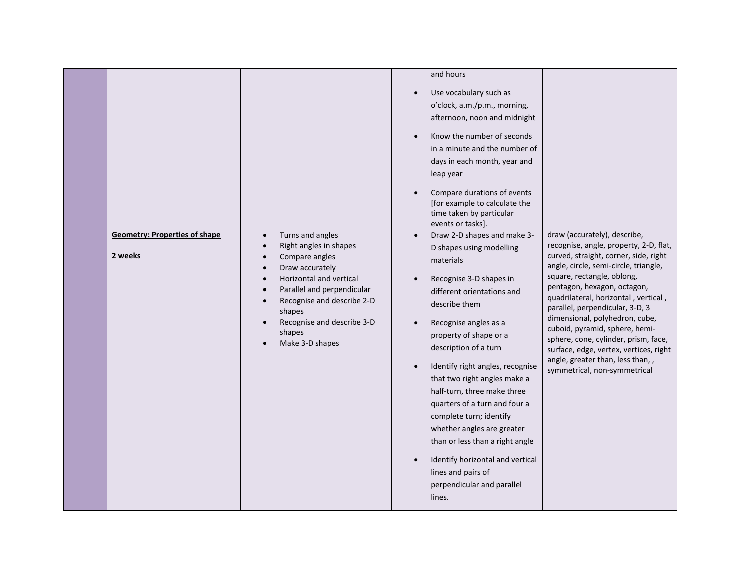| <b>Geometry: Properties of shape</b> | Turns and angles<br>$\bullet$                                                                                                                                                                                                                                  | and hours<br>Use vocabulary such as<br>$\bullet$<br>o'clock, a.m./p.m., morning,<br>afternoon, noon and midnight<br>Know the number of seconds<br>$\bullet$<br>in a minute and the number of<br>days in each month, year and<br>leap year<br>Compare durations of events<br>$\bullet$<br>[for example to calculate the<br>time taken by particular<br>events or tasks]<br>Draw 2-D shapes and make 3-<br>$\bullet$                                                                                                                                                                | draw (accurately), describe,                                                                                                                                                                                                                                                                                                                                                                                                                                                               |
|--------------------------------------|----------------------------------------------------------------------------------------------------------------------------------------------------------------------------------------------------------------------------------------------------------------|-----------------------------------------------------------------------------------------------------------------------------------------------------------------------------------------------------------------------------------------------------------------------------------------------------------------------------------------------------------------------------------------------------------------------------------------------------------------------------------------------------------------------------------------------------------------------------------|--------------------------------------------------------------------------------------------------------------------------------------------------------------------------------------------------------------------------------------------------------------------------------------------------------------------------------------------------------------------------------------------------------------------------------------------------------------------------------------------|
| 2 weeks                              | Right angles in shapes<br>Compare angles<br>$\bullet$<br>Draw accurately<br>Horizontal and vertical<br>Parallel and perpendicular<br>$\bullet$<br>Recognise and describe 2-D<br>$\bullet$<br>shapes<br>Recognise and describe 3-D<br>shapes<br>Make 3-D shapes | D shapes using modelling<br>materials<br>Recognise 3-D shapes in<br>$\bullet$<br>different orientations and<br>describe them<br>Recognise angles as a<br>$\bullet$<br>property of shape or a<br>description of a turn<br>Identify right angles, recognise<br>$\bullet$<br>that two right angles make a<br>half-turn, three make three<br>quarters of a turn and four a<br>complete turn; identify<br>whether angles are greater<br>than or less than a right angle<br>Identify horizontal and vertical<br>$\bullet$<br>lines and pairs of<br>perpendicular and parallel<br>lines. | recognise, angle, property, 2-D, flat,<br>curved, straight, corner, side, right<br>angle, circle, semi-circle, triangle,<br>square, rectangle, oblong,<br>pentagon, hexagon, octagon,<br>quadrilateral, horizontal, vertical,<br>parallel, perpendicular, 3-D, 3<br>dimensional, polyhedron, cube,<br>cuboid, pyramid, sphere, hemi-<br>sphere, cone, cylinder, prism, face,<br>surface, edge, vertex, vertices, right<br>angle, greater than, less than,,<br>symmetrical, non-symmetrical |